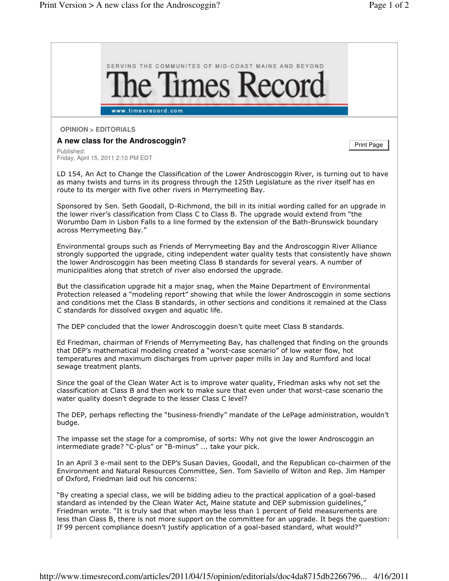